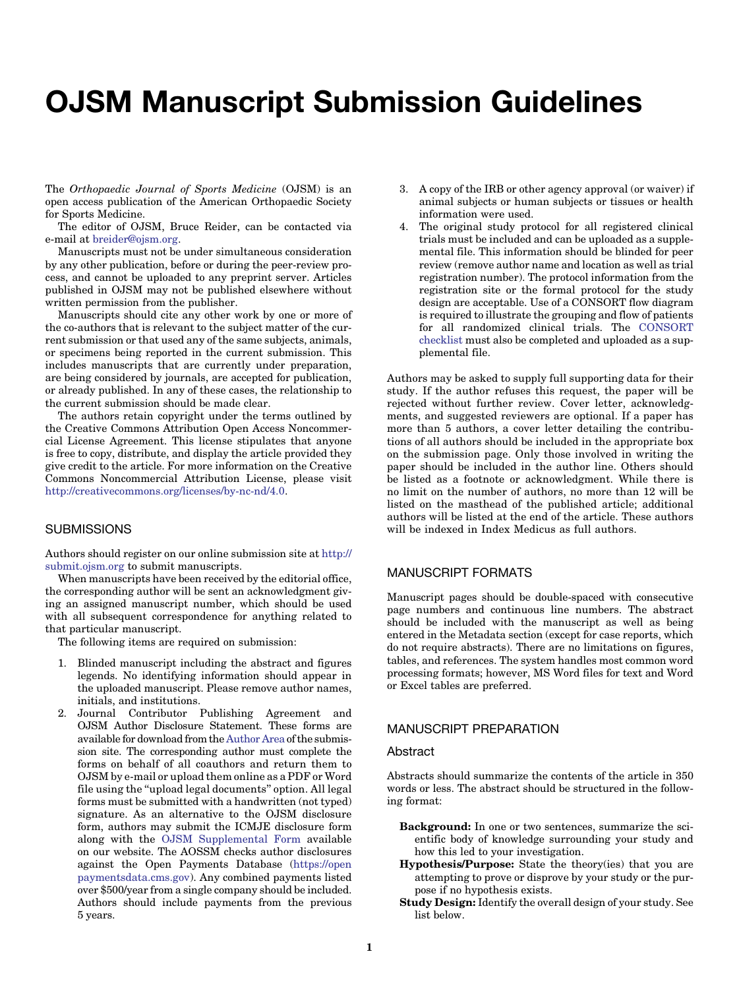# OJSM Manuscript Submission Guidelines

The Orthopaedic Journal of Sports Medicine (OJSM) is an open access publication of the American Orthopaedic Society for Sports Medicine.

The editor of OJSM, Bruce Reider, can be contacted via e-mail at [breider@ojsm.org.](mailto:breider@ojsm.org)

Manuscripts must not be under simultaneous consideration by any other publication, before or during the peer-review process, and cannot be uploaded to any preprint server. Articles published in OJSM may not be published elsewhere without written permission from the publisher.

Manuscripts should cite any other work by one or more of the co-authors that is relevant to the subject matter of the current submission or that used any of the same subjects, animals, or specimens being reported in the current submission. This includes manuscripts that are currently under preparation, are being considered by journals, are accepted for publication, or already published. In any of these cases, the relationship to the current submission should be made clear.

The authors retain copyright under the terms outlined by the Creative Commons Attribution Open Access Noncommercial License Agreement. This license stipulates that anyone is free to copy, distribute, and display the article provided they give credit to the article. For more information on the Creative Commons Noncommercial Attribution License, please visit [http://creativecommons.org/licenses/by-nc-nd/4.0.](http://creativecommons.org/licenses/by-nc-nd/4.0)

## **SUBMISSIONS**

Authors should register on our online submission site at [http://](http://submit.ojsm.org) [submit.ojsm.org](http://submit.ojsm.org) to submit manuscripts.

When manuscripts have been received by the editorial office, the corresponding author will be sent an acknowledgment giving an assigned manuscript number, which should be used with all subsequent correspondence for anything related to that particular manuscript.

The following items are required on submission:

- 1. Blinded manuscript including the abstract and figures legends. No identifying information should appear in the uploaded manuscript. Please remove author names, initials, and institutions.
- 2. Journal Contributor Publishing Agreement and OJSM Author Disclosure Statement. These forms are available for download from the [Author Area](http://submit.ojsm.org/submission/queues) of the submission site. The corresponding author must complete the forms on behalf of all coauthors and return them to OJSM by e-mail or upload them online as a PDF or Word file using the ''upload legal documents'' option. All legal forms must be submitted with a handwritten (not typed) signature. As an alternative to the OJSM disclosure form, authors may submit the ICMJE disclosure form along with the [OJSM Supplemental Form](http://submit.ojsm.org/submission/queues) available on our website. The AOSSM checks author disclosures against the Open Payments Database [\(https://open](https://openpaymentsdata.cms.gov) [paymentsdata.cms.gov](https://openpaymentsdata.cms.gov)). Any combined payments listed over \$500/year from a single company should be included. Authors should include payments from the previous 5 years.
- 3. A copy of the IRB or other agency approval (or waiver) if animal subjects or human subjects or tissues or health information were used.
- 4. The original study protocol for all registered clinical trials must be included and can be uploaded as a supplemental file. This information should be blinded for peer review (remove author name and location as well as trial registration number). The protocol information from the registration site or the formal protocol for the study design are acceptable. Use of a CONSORT flow diagram is required to illustrate the grouping and flow of patients for all randomized clinical trials. The [CONSORT](http://www.consort-statement.org/download/Media/Default/Downloads/CONSORT%202010%20Checklist.doc) [checklist](http://www.consort-statement.org/download/Media/Default/Downloads/CONSORT%202010%20Checklist.doc) must also be completed and uploaded as a supplemental file.

Authors may be asked to supply full supporting data for their study. If the author refuses this request, the paper will be rejected without further review. Cover letter, acknowledgments, and suggested reviewers are optional. If a paper has more than 5 authors, a cover letter detailing the contributions of all authors should be included in the appropriate box on the submission page. Only those involved in writing the paper should be included in the author line. Others should be listed as a footnote or acknowledgment. While there is no limit on the number of authors, no more than 12 will be listed on the masthead of the published article; additional authors will be listed at the end of the article. These authors will be indexed in Index Medicus as full authors.

# MANUSCRIPT FORMATS

Manuscript pages should be double-spaced with consecutive page numbers and continuous line numbers. The abstract should be included with the manuscript as well as being entered in the Metadata section (except for case reports, which do not require abstracts). There are no limitations on figures, tables, and references. The system handles most common word processing formats; however, MS Word files for text and Word or Excel tables are preferred.

## MANUSCRIPT PREPARATION

#### Abstract

Abstracts should summarize the contents of the article in 350 words or less. The abstract should be structured in the following format:

- Background: In one or two sentences, summarize the scientific body of knowledge surrounding your study and how this led to your investigation.
- Hypothesis/Purpose: State the theory(ies) that you are attempting to prove or disprove by your study or the purpose if no hypothesis exists.
- Study Design: Identify the overall design of your study. See list below.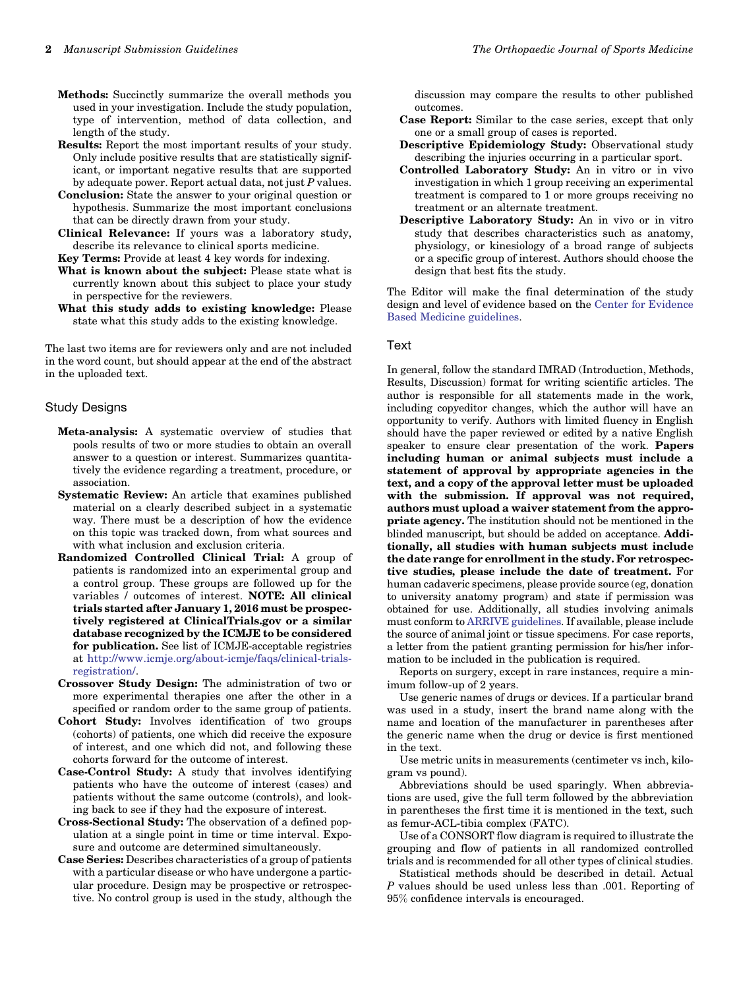- Results: Report the most important results of your study. Only include positive results that are statistically significant, or important negative results that are supported by adequate power. Report actual data, not just  $P$  values.
- Conclusion: State the answer to your original question or hypothesis. Summarize the most important conclusions that can be directly drawn from your study.
- Clinical Relevance: If yours was a laboratory study, describe its relevance to clinical sports medicine.

Key Terms: Provide at least 4 key words for indexing.

- What is known about the subject: Please state what is currently known about this subject to place your study in perspective for the reviewers.
- What this study adds to existing knowledge: Please state what this study adds to the existing knowledge.

The last two items are for reviewers only and are not included in the word count, but should appear at the end of the abstract in the uploaded text.

#### Study Designs

- Meta-analysis: A systematic overview of studies that pools results of two or more studies to obtain an overall answer to a question or interest. Summarizes quantitatively the evidence regarding a treatment, procedure, or association.
- Systematic Review: An article that examines published material on a clearly described subject in a systematic way. There must be a description of how the evidence on this topic was tracked down, from what sources and with what inclusion and exclusion criteria.
- Randomized Controlled Clinical Trial: A group of patients is randomized into an experimental group and a control group. These groups are followed up for the variables / outcomes of interest. NOTE: All clinical trials started after January 1, 2016 must be prospectively registered at ClinicalTrials.gov or a similar database recognized by the ICMJE to be considered for publication. See list of ICMJE-acceptable registries at [http://www.icmje.org/about-icmje/faqs/clinical-trials](http://www.icmje.org/about-icmje/faqs/clinical-trials-registration/)[registration/](http://www.icmje.org/about-icmje/faqs/clinical-trials-registration/).
- Crossover Study Design: The administration of two or more experimental therapies one after the other in a specified or random order to the same group of patients.
- Cohort Study: Involves identification of two groups (cohorts) of patients, one which did receive the exposure of interest, and one which did not, and following these cohorts forward for the outcome of interest.
- Case-Control Study: A study that involves identifying patients who have the outcome of interest (cases) and patients without the same outcome (controls), and looking back to see if they had the exposure of interest.
- Cross-Sectional Study: The observation of a defined population at a single point in time or time interval. Exposure and outcome are determined simultaneously.
- Case Series: Describes characteristics of a group of patients with a particular disease or who have undergone a particular procedure. Design may be prospective or retrospective. No control group is used in the study, although the

discussion may compare the results to other published outcomes.

- Case Report: Similar to the case series, except that only one or a small group of cases is reported.
- Descriptive Epidemiology Study: Observational study describing the injuries occurring in a particular sport.
- Controlled Laboratory Study: An in vitro or in vivo investigation in which 1 group receiving an experimental treatment is compared to 1 or more groups receiving no treatment or an alternate treatment.
- Descriptive Laboratory Study: An in vivo or in vitro study that describes characteristics such as anatomy, physiology, or kinesiology of a broad range of subjects or a specific group of interest. Authors should choose the design that best fits the study.

The Editor will make the final determination of the study design and level of evidence based on the [Center for Evidence](http://www.cebm.net/index.aspx?o=1025) [Based Medicine guidelines](http://www.cebm.net/index.aspx?o=1025).

#### Text

In general, follow the standard IMRAD (Introduction, Methods, Results, Discussion) format for writing scientific articles. The author is responsible for all statements made in the work, including copyeditor changes, which the author will have an opportunity to verify. Authors with limited fluency in English should have the paper reviewed or edited by a native English speaker to ensure clear presentation of the work. Papers including human or animal subjects must include a statement of approval by appropriate agencies in the text, and a copy of the approval letter must be uploaded with the submission. If approval was not required, authors must upload a waiver statement from the appropriate agency. The institution should not be mentioned in the blinded manuscript, but should be added on acceptance. Additionally, all studies with human subjects must include the date range for enrollment in the study. For retrospective studies, please include the date of treatment. For human cadaveric specimens, please provide source (eg, donation to university anatomy program) and state if permission was obtained for use. Additionally, all studies involving animals must conform to [ARRIVE guidelines](https://www.nc3rs.org.uk/sites/default/files/documents/Guidelines/NC3Rs%20ARRIVE%20Guidelines%202013.pdf). If available, please include the source of animal joint or tissue specimens. For case reports, a letter from the patient granting permission for his/her information to be included in the publication is required.

Reports on surgery, except in rare instances, require a minimum follow-up of 2 years.

Use generic names of drugs or devices. If a particular brand was used in a study, insert the brand name along with the name and location of the manufacturer in parentheses after the generic name when the drug or device is first mentioned in the text.

Use metric units in measurements (centimeter vs inch, kilogram vs pound).

Abbreviations should be used sparingly. When abbreviations are used, give the full term followed by the abbreviation in parentheses the first time it is mentioned in the text, such as femur-ACL-tibia complex (FATC).

Use of a CONSORT flow diagram is required to illustrate the grouping and flow of patients in all randomized controlled trials and is recommended for all other types of clinical studies.

Statistical methods should be described in detail. Actual P values should be used unless less than .001. Reporting of 95% confidence intervals is encouraged.